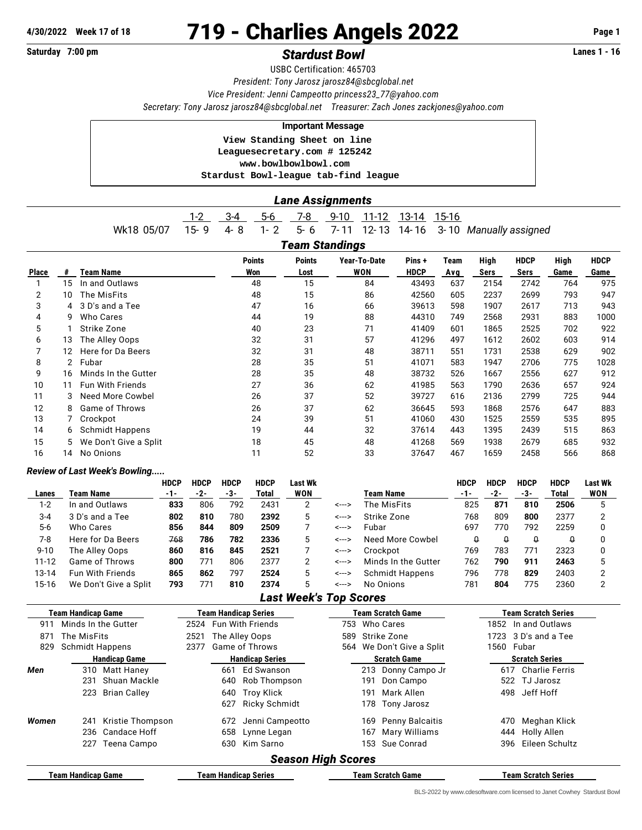## **4/30/2022 Week 17 of 18** 719 - Charlies Angels 2022 **Page 1**

## Saturday 7:00 pm **Stardust Bowl Standust Bowl Constant Account Standard Exercise 2018**

USBC Certification: 465703 *President: Tony Jarosz [jarosz84@sbcglobal.net](mailto:jarosz84@sbcglobal.net) Vice President: Jenni Campeotto [princess23\\_77@yahoo.com](mailto:princess23_77@yahoo.com) Secretary: Tony Jarosz [jarosz84@sbcglobal.net](mailto:jarosz84@sbcglobal.net) Treasurer: Zach Jones [zackjones@yahoo.com](mailto:zackjones@yahoo.com)*

## **Important Message**

 **View Standing Sheet on line Leaguesecretary.com # 125242 <www.bowlbowlbowl.com> Stardust Bowl-league tab-find league**

## *Lane Assignments*

|              |    |                               |             |                   |                             |                        | AJJIYIIII                     |          |                  |                          |             |                                |                       |                    |             |  |  |
|--------------|----|-------------------------------|-------------|-------------------|-----------------------------|------------------------|-------------------------------|----------|------------------|--------------------------|-------------|--------------------------------|-----------------------|--------------------|-------------|--|--|
|              |    |                               |             | $1-2$             | $3-4$                       | $5-6$                  | $7 - 8$                       | $9 - 10$ | $11 - 12$        | $13 - 14$                | 15-16       |                                |                       |                    |             |  |  |
|              |    | Wk18 05/07                    |             | $15 - 9$          | $4 - 8$                     | $1 - 2$                | $5 - 6$                       | $7 - 11$ | $12 - 13$        | 14-16                    |             | 3-10 Manually assigned         |                       |                    |             |  |  |
|              |    |                               |             |                   |                             |                        | <b>Team Standings</b>         |          |                  |                          |             |                                |                       |                    |             |  |  |
|              |    |                               |             |                   |                             | <b>Points</b>          | <b>Points</b>                 |          | Year-To-Date     | Pins+                    | <b>Team</b> | <b>High</b>                    | <b>HDCP</b>           | High               | <b>HDCP</b> |  |  |
| <b>Place</b> | #  | <b>Team Name</b>              |             |                   |                             | Won                    | Lost                          |          | <b>WON</b>       | <b>HDCP</b>              | Avg         | <b>Sers</b>                    | <b>Sers</b>           | Game               | Game        |  |  |
| 1            | 15 | In and Outlaws                |             |                   |                             | 48                     | 15                            |          | 84               | 43493                    | 637         | 2154                           | 2742                  | 764                | 975         |  |  |
| 2            | 10 | The MisFits                   |             |                   |                             | 48                     | 15                            |          | 86               | 42560                    | 605         | 2237                           | 2699                  | 793                | 947         |  |  |
| 3            | 4  | 3 D's and a Tee               |             |                   |                             | 47                     | 16                            |          | 66               | 39613                    | 598         | 1907                           | 2617                  | 713                | 943         |  |  |
| 4            | 9  | Who Cares                     |             |                   |                             | 44                     | 19                            |          | 88               | 44310                    | 749         | 2568                           | 2931                  | 883                | 1000        |  |  |
| 5            | 1  | Strike Zone                   |             |                   |                             | 40                     | 23                            |          | 71               | 41409                    | 601         | 1865                           | 2525                  | 702                | 922         |  |  |
| 6            | 13 | The Alley Oops                |             |                   |                             | 32                     | 31                            |          | 57               | 41296                    | 497         | 1612                           | 2602                  | 603                | 914         |  |  |
| 7            | 12 | Here for Da Beers             |             |                   |                             | 32                     | 31                            |          | 48               | 38711                    | 551         | 1731                           | 2538                  | 629                | 902         |  |  |
| 8            |    | 2 Fubar                       |             |                   |                             | 28                     | 35                            |          | 51               | 41071                    | 583         | 1947                           | 2706                  | 775                | 1028        |  |  |
| 9            | 16 | Minds In the Gutter           |             |                   |                             | 28                     | 35                            |          | 48               | 38732                    | 526         | 1667                           | 2556                  | 627                | 912         |  |  |
| 10           | 11 | <b>Fun With Friends</b>       |             |                   |                             | 27                     | 36                            |          | 62               | 41985                    | 563         | 1790                           | 2636                  | 657                | 924         |  |  |
| 11           | 3  | Need More Cowbel              |             |                   |                             | 26                     | 37                            |          | 52               | 39727                    | 616         | 2136                           | 2799                  | 725                | 944         |  |  |
| 12           | 8  | Game of Throws                |             |                   |                             | 26                     | 37                            |          | 62               | 36645                    | 593         | 1868                           | 2576                  | 647                | 883         |  |  |
| 13           | 7  | Crockpot                      |             |                   |                             | 24                     | 39                            |          | 51               | 41060                    | 430         | 1525                           | 2559                  | 535                | 895         |  |  |
| 14           | 6  | <b>Schmidt Happens</b>        |             |                   |                             | 19                     | 44                            |          | 32               | 37614                    | 443         | 1395                           | 2439                  | 515                | 863         |  |  |
| 15           | 5  | We Don't Give a Split         |             |                   |                             | 18                     | 45                            |          | 48               | 41268                    | 569         | 1938                           | 2679                  | 685                | 932         |  |  |
| 16           | 14 | No Onions                     |             |                   |                             | 11                     | 52                            |          | 33               | 37647                    | 467         | 1659                           | 2458                  | 566                | 868         |  |  |
|              |    | Review of Last Week's Bowling |             |                   |                             |                        |                               |          |                  |                          |             |                                |                       |                    |             |  |  |
|              |    |                               | <b>HDCP</b> | <b>HDCP</b>       | <b>HDCP</b>                 | <b>HDCP</b>            | Last Wk                       |          |                  |                          | <b>HDCP</b> | <b>HDCP</b>                    | <b>HDCP</b>           | <b>HDCP</b>        | Last Wk     |  |  |
| Lanes        |    | <b>Team Name</b>              | $-1-$       | $-2-$             | -3-                         | <b>Total</b>           | <b>WON</b>                    |          | <b>Team Name</b> |                          | -1-         | $-2-$                          | $-3-$                 | <b>Total</b>       | <b>WON</b>  |  |  |
| $1 - 2$      |    | In and Outlaws                | 833         | 806               | 792                         | 2431                   | 2                             | <--->    | The MisFits      |                          |             | 871<br>825                     | 810                   | 2506               | 5           |  |  |
| $3 - 4$      |    | 3 D's and a Tee               | 802         | 810               | 780                         | 2392                   | 5                             | <--->    | Strike Zone      |                          |             | 768<br>809                     | 800                   | 2377               | 2           |  |  |
| $5-6$        |    | <b>Who Cares</b>              | 856         | 844               | 809                         | 2509                   | 7                             | <--->    | Fubar            |                          |             | 697<br>770                     | 792                   | 2259               | 0           |  |  |
| $7 - 8$      |    | Here for Da Beers             | 768         | 786               | 782                         | 2336                   | 5                             | <--->    |                  | <b>Need More Cowbel</b>  |             | $\theta$<br>$\pmb{\mathsf{Q}}$ | $\pmb{\mathsf{Q}}$    | $\theta$           | 0           |  |  |
| $9 - 10$     |    | The Alley Oops                | 860         | 816               | 845                         | 2521                   | 7                             | <--->    | Crockpot         |                          |             | 769<br>783                     | 771                   | 2323               | 0           |  |  |
| $11 - 12$    |    | Game of Throws                | 800         | 771               | 806                         | 2377                   | $\overline{2}$                | <--->    |                  | Minds In the Gutter      |             | 790<br>762                     | 911                   | 2463               | 5           |  |  |
| 13-14        |    | Fun With Friends              | 865         | 862               | 797                         | 2524                   | 5                             | <--->    |                  | <b>Schmidt Happens</b>   |             | 796<br>778                     | 829                   | 2403               | 2           |  |  |
| 15-16        |    | We Don't Give a Split         | 793         | 771               | 810                         | 2374                   | 5                             | <--->    | No Onions        |                          |             | 781<br>804                     | 775                   | 2360               | 2           |  |  |
|              |    |                               |             |                   |                             |                        | <b>Last Week's Top Scores</b> |          |                  |                          |             |                                |                       |                    |             |  |  |
|              |    | <b>Team Handicap Game</b>     |             |                   | <b>Team Handicap Series</b> |                        |                               |          |                  | <b>Team Scratch Game</b> |             | <b>Team Scratch Series</b>     |                       |                    |             |  |  |
| 911          |    | Minds In the Gutter           |             |                   |                             | 2524 Fun With Friends  |                               |          | 753 Who Cares    |                          |             |                                | 1852 In and Outlaws   |                    |             |  |  |
| 871          |    | The MisFits                   |             | 2521              |                             | The Alley Oops         |                               | 589      | Strike Zone      |                          |             | 1723                           | 3 D's and a Tee       |                    |             |  |  |
| 829          |    | <b>Schmidt Happens</b>        |             | 2377              |                             | Game of Throws         |                               | 564      |                  | We Don't Give a Split    |             | 1560                           | Fubar                 |                    |             |  |  |
|              |    | <b>Handicap Game</b>          |             |                   |                             | <b>Handicap Series</b> |                               |          |                  | <b>Scratch Game</b>      |             |                                | <b>Scratch Series</b> |                    |             |  |  |
| Men          |    | 310 Matt Haney                |             | Ed Swanson<br>661 |                             |                        |                               |          |                  | 213 Donny Campo Jr       |             | 617 Charlie Ferris             |                       |                    |             |  |  |
|              |    | 231 Shuan Mackle              |             |                   |                             | 640 Rob Thompson       |                               |          |                  | 191 Don Campo            |             |                                | 522 TJ Jarosz         |                    |             |  |  |
|              |    | 223 Brian Calley              |             |                   |                             | 640 Troy Klick         |                               |          | 191              | Mark Allen               |             |                                | 498 Jeff Hoff         |                    |             |  |  |
|              |    |                               |             |                   |                             | 627 Ricky Schmidt      |                               |          |                  | 178 Tony Jarosz          |             |                                |                       |                    |             |  |  |
| Women        |    | 241 Kristie Thompson          |             |                   |                             | 672 Jenni Campeotto    |                               |          |                  | 169 Penny Balcaitis      |             |                                |                       | 470 Meghan Klick   |             |  |  |
|              |    | 236 Candace Hoff              |             |                   |                             | 658 Lynne Legan        |                               |          |                  | 167 Mary Williams        |             |                                | 444 Holly Allen       |                    |             |  |  |
|              |    | 227 Teena Campo               |             |                   |                             | 630 Kim Sarno          |                               |          |                  | 153 Sue Conrad           |             |                                |                       | 396 Eileen Schultz |             |  |  |
|              |    |                               |             |                   |                             |                        |                               |          |                  |                          |             |                                |                       |                    |             |  |  |

*Season High Scores*

**Team Handicap Game Team Handicap Series Team Scratch Game Team Scratch Series**

BLS-2022 by [www.cdesoftware.com l](www.cdesoftware.com)icensed to Janet Cowhey Stardust Bowl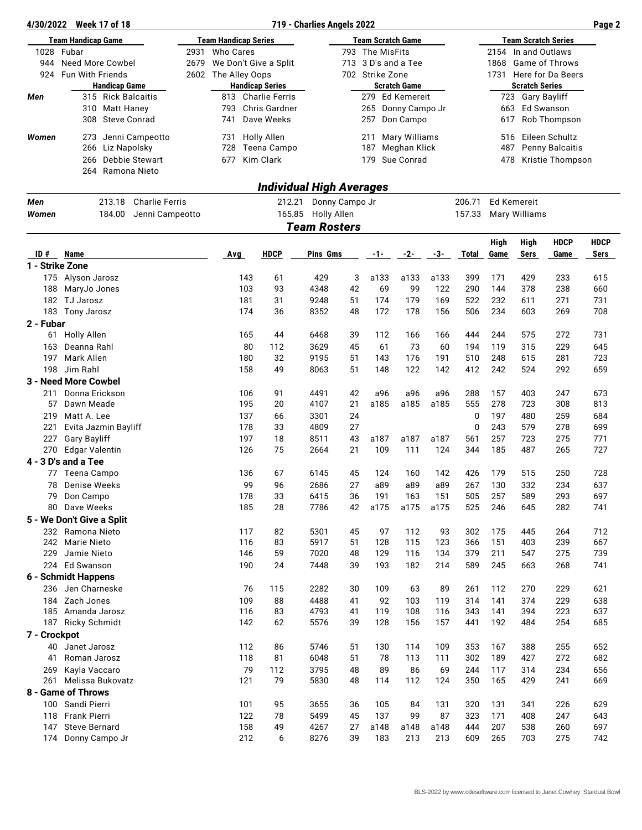| 4/30/2022                 | <b>Week 17 of 18</b>                          |                          |                             |                                              | 719 - Charlies Angels 2022 |          |                                          |                                        |            |                     |                            |                                           |                                            | Page 2      |
|---------------------------|-----------------------------------------------|--------------------------|-----------------------------|----------------------------------------------|----------------------------|----------|------------------------------------------|----------------------------------------|------------|---------------------|----------------------------|-------------------------------------------|--------------------------------------------|-------------|
| <b>Team Handicap Game</b> |                                               |                          | <b>Team Handicap Series</b> |                                              | <b>Team Scratch Game</b>   |          |                                          |                                        |            |                     | <b>Team Scratch Series</b> |                                           |                                            |             |
| 1028                      | Fubar                                         | 2931<br><b>Who Cares</b> |                             |                                              | 793 The MisFits            |          |                                          |                                        |            | 2154 In and Outlaws |                            |                                           |                                            |             |
| 944                       | Need More Cowbel                              | 2679                     | We Don't Give a Split       |                                              |                            |          |                                          | 713 3 D's and a Tee                    |            |                     | 1868                       | <b>Game of Throws</b>                     |                                            |             |
| 924                       | <b>Fun With Friends</b>                       | 2602                     | The Alley Oops              |                                              |                            |          | 702 Strike Zone                          |                                        |            |                     |                            |                                           | 1731 Here for Da Beers                     |             |
| Men                       | <b>Handicap Game</b><br>315 Rick Balcaitis    |                          |                             | <b>Handicap Series</b><br>813 Charlie Ferris |                            |          |                                          | <b>Scratch Game</b><br>279 Ed Kemereit |            |                     |                            | <b>Scratch Series</b><br>723 Gary Bayliff |                                            |             |
|                           | 310 Matt Haney                                |                          | 793                         | Chris Gardner                                |                            |          |                                          | 265 Donny Campo Jr                     |            |                     |                            | 663 Ed Swanson                            |                                            |             |
|                           | 308 Steve Conrad                              |                          | 741                         | Dave Weeks                                   |                            |          | 257                                      | Don Campo                              |            |                     | 617                        |                                           | Rob Thompson                               |             |
|                           |                                               |                          |                             |                                              |                            |          |                                          |                                        |            |                     |                            |                                           |                                            |             |
| Women                     | Jenni Campeotto<br>273                        |                          | 731                         | <b>Holly Allen</b><br>Teena Campo            |                            |          | 211                                      | Mary Williams                          |            |                     | 516<br>487                 |                                           | Eileen Schultz                             |             |
|                           | 266 Liz Napolsky<br>Debbie Stewart<br>266     |                          | 728<br>677                  | Kim Clark                                    |                            |          | 187<br>Meghan Klick<br>Sue Conrad<br>179 |                                        |            |                     | 478                        |                                           | <b>Penny Balcaitis</b><br>Kristie Thompson |             |
|                           | 264 Ramona Nieto                              |                          |                             |                                              |                            |          |                                          |                                        |            |                     |                            |                                           |                                            |             |
|                           |                                               |                          |                             |                                              | Individual High Averages   |          |                                          |                                        |            |                     |                            |                                           |                                            |             |
| Men                       | <b>Charlie Ferris</b><br>213.18               |                          |                             |                                              | 212.21 Donny Campo Jr      |          |                                          |                                        |            | 206.71              |                            | <b>Ed Kemereit</b>                        |                                            |             |
| Women                     | 184.00<br>Jenni Campeotto                     |                          |                             | 165.85 Holly Allen                           |                            |          |                                          |                                        |            | 157.33              |                            | Mary Williams                             |                                            |             |
|                           |                                               |                          |                             | <b>Team Rosters</b>                          |                            |          |                                          |                                        |            |                     |                            |                                           |                                            |             |
|                           |                                               |                          |                             |                                              |                            |          |                                          |                                        |            |                     | High                       | <b>High</b>                               | <b>HDCP</b>                                | <b>HDCP</b> |
| ID#                       | <b>Name</b>                                   |                          | <b>Avg</b>                  | <b>HDCP</b>                                  | <b>Pins Gms</b>            |          | -1-                                      | -2-                                    | -3-        | <b>Total</b>        | Game                       | Sers                                      | Game                                       | Sers        |
| 1 - Strike Zone           |                                               |                          |                             |                                              |                            |          |                                          |                                        |            |                     |                            |                                           |                                            |             |
| 175                       | Alyson Jarosz                                 |                          | 143                         | 61                                           | 429                        | 3        | a133                                     | a133                                   | a133       | 399                 | 171                        | 429                                       | 233                                        | 615         |
| 188                       | MaryJo Jones                                  |                          | 103                         | 93                                           | 4348                       | 42       | 69                                       | 99                                     | 122        | 290                 | 144                        | 378                                       | 238                                        | 660         |
|                           | 182 TJ Jarosz<br>183 Tony Jarosz              |                          | 181<br>174                  | 31<br>36                                     | 9248<br>8352               | 51<br>48 | 174<br>172                               | 179<br>178                             | 169<br>156 | 522<br>506          | 232<br>234                 | 611<br>603                                | 271<br>269                                 | 731<br>708  |
| 2 - Fubar                 |                                               |                          |                             |                                              |                            |          |                                          |                                        |            |                     |                            |                                           |                                            |             |
|                           | 61 Holly Allen                                |                          | 165                         | 44                                           | 6468                       | 39       | 112                                      | 166                                    | 166        | 444                 | 244                        | 575                                       | 272                                        | 731         |
| 163                       | Deanna Rahl                                   |                          | 80                          | 112                                          | 3629                       | 45       | 61                                       | 73                                     | 60         | 194                 | 119                        | 315                                       | 229                                        | 645         |
| 197                       | Mark Allen                                    |                          | 180                         | 32                                           | 9195                       | 51       | 143                                      | 176                                    | 191        | 510                 | 248                        | 615                                       | 281                                        | 723         |
|                           | 198 Jim Rahl                                  |                          | 158                         | 49                                           | 8063                       | 51       | 148                                      | 122                                    | 142        | 412                 | 242                        | 524                                       | 292                                        | 659         |
|                           | 3 - Need More Cowbel                          |                          |                             |                                              |                            |          |                                          |                                        |            |                     |                            |                                           |                                            |             |
| 211                       | Donna Erickson                                |                          | 106                         | 91                                           | 4491                       | 42       | a96                                      | a96                                    | a96        | 288                 | 157                        | 403                                       | 247                                        | 673         |
| 57                        | Dawn Meade                                    |                          | 195                         | 20                                           | 4107                       | 21       | a185                                     | a185                                   | a185       | 555                 | 278                        | 723                                       | 308                                        | 813         |
| 219<br>221                | Matt A. Lee<br>Evita Jazmin Bayliff           |                          | 137<br>178                  | 66<br>33                                     | 3301<br>4809               | 24<br>27 |                                          |                                        |            | 0<br>$\mathbf 0$    | 197<br>243                 | 480<br>579                                | 259<br>278                                 | 684<br>699  |
| 227                       | <b>Gary Bayliff</b>                           |                          | 197                         | 18                                           | 8511                       | 43       | a187                                     | a187                                   | a187       | 561                 | 257                        | 723                                       | 275                                        | 771         |
| 270                       | <b>Edgar Valentin</b>                         |                          | 126                         | 75                                           | 2664                       | 21       | 109                                      | 111                                    | 124        | 344                 | 185                        | 487                                       | 265                                        | 727         |
|                           | 4 - 3 D's and a Tee                           |                          |                             |                                              |                            |          |                                          |                                        |            |                     |                            |                                           |                                            |             |
| 77                        | Teena Campo                                   |                          | 136                         | 67                                           | 6145                       | 45       | 124                                      | 160                                    | 142        | 426                 | 179                        | 515                                       | 250                                        | 728         |
| 78                        | Denise Weeks                                  |                          | 99                          | 96                                           | 2686                       | 27       | a89                                      | a89                                    | a89        | 267                 | 130                        | 332                                       | 234                                        | 637         |
|                           | 79 Don Campo                                  |                          | 178                         | 33                                           | 6415                       | 36       | 191                                      | 163                                    | 151        | 505                 | 257                        | 589                                       | 293                                        | 697         |
| 80                        | Dave Weeks                                    |                          | 185                         | 28                                           | 7786                       | 42       | a175                                     | a175                                   | a175       | 525                 | 246                        | 645                                       | 282                                        | 741         |
|                           | 5 - We Don't Give a Split<br>232 Ramona Nieto |                          | 117                         |                                              | 5301                       |          |                                          | 112                                    |            |                     |                            |                                           |                                            |             |
|                           | 242 Marie Nieto                               |                          | 116                         | 82<br>83                                     | 5917                       | 45<br>51 | 97<br>128                                | 115                                    | 93<br>123  | 302<br>366          | 175<br>151                 | 445<br>403                                | 264<br>239                                 | 712<br>667  |
| 229                       | Jamie Nieto                                   |                          | 146                         | 59                                           | 7020                       | 48       | 129                                      | 116                                    | 134        | 379                 | 211                        | 547                                       | 275                                        | 739         |
|                           | 224 Ed Swanson                                |                          | 190                         | 24                                           | 7448                       | 39       | 193                                      | 182                                    | 214        | 589                 | 245                        | 663                                       | 268                                        | 741         |
|                           | 6 - Schmidt Happens                           |                          |                             |                                              |                            |          |                                          |                                        |            |                     |                            |                                           |                                            |             |
|                           | 236 Jen Charneske                             |                          | 76                          | 115                                          | 2282                       | 30       | 109                                      | 63                                     | 89         | 261                 | 112                        | 270                                       | 229                                        | 621         |
| 184                       | Zach Jones                                    |                          | 109                         | 88                                           | 4488                       | 41       | 92                                       | 103                                    | 119        | 314                 | 141                        | 374                                       | 229                                        | 638         |
|                           | 185 Amanda Jarosz                             |                          | 116                         | 83                                           | 4793                       | 41       | 119                                      | 108                                    | 116        | 343                 | 141                        | 394                                       | 223                                        | 637         |
|                           | 187 Ricky Schmidt                             |                          | 142                         | 62                                           | 5576                       | 39       | 128                                      | 156                                    | 157        | 441                 | 192                        | 484                                       | 254                                        | 685         |
| 7 - Crockpot<br>40        | Janet Jarosz                                  |                          | 112                         | 86                                           | 5746                       | 51       | 130                                      | 114                                    | 109        | 353                 | 167                        | 388                                       | 255                                        | 652         |
| 41                        | Roman Jarosz                                  |                          | 118                         | 81                                           | 6048                       | 51       | 78                                       | 113                                    | 111        | 302                 | 189                        | 427                                       | 272                                        | 682         |
| 269                       | Kayla Vaccaro                                 |                          | 79                          | 112                                          | 3795                       | 48       | 89                                       | 86                                     | 69         | 244                 | 117                        | 314                                       | 234                                        | 656         |
|                           | 261 Melissa Bukovatz                          |                          | 121                         | 79                                           | 5830                       | 48       | 114                                      | 112                                    | 124        | 350                 | 165                        | 429                                       | 241                                        | 669         |
|                           | 8 - Game of Throws                            |                          |                             |                                              |                            |          |                                          |                                        |            |                     |                            |                                           |                                            |             |
|                           | 100 Sandi Pierri                              |                          | 101                         | 95                                           | 3655                       | 36       | 105                                      | 84                                     | 131        | 320                 | 131                        | 341                                       | 226                                        | 629         |
| 118                       | Frank Pierri                                  |                          | 122                         | 78                                           | 5499                       | 45       | 137                                      | 99                                     | 87         | 323                 | 171                        | 408                                       | 247                                        | 643         |
| 147                       | <b>Steve Bernard</b>                          |                          | 158                         | 49                                           | 4267                       | 27       | a148                                     | a148                                   | a148       | 444                 | 207                        | 538                                       | 260                                        | 697         |
| 174                       | Donny Campo Jr                                |                          | 212                         | 6                                            | 8276                       | 39       | 183                                      | 213                                    | 213        | 609                 | 265                        | 703                                       | 275                                        | 742         |